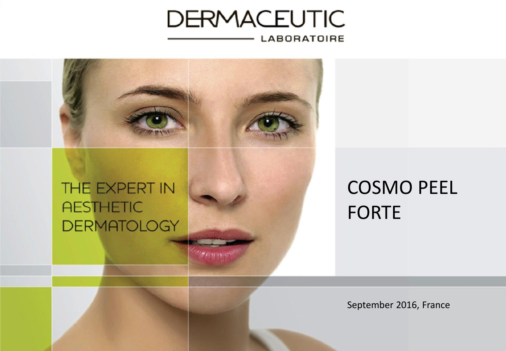### **DERMACEUTIC LABORATOIRE**

**PARKING** 



# COSMO PEEL FORTE

September 2016, France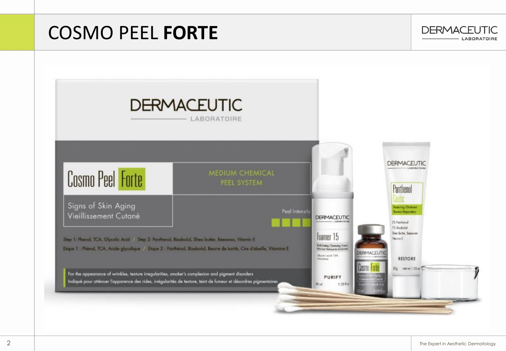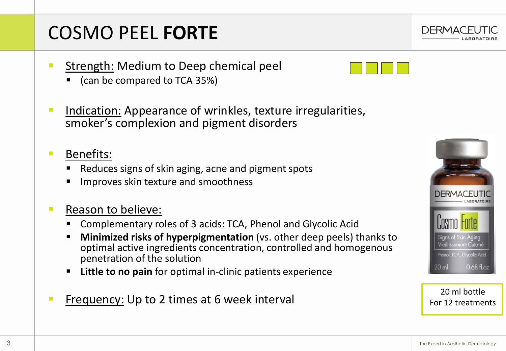# COSMO PEEL **FORTE**

- Strength: Medium to Deep chemical peel
	- (can be compared to TCA 35%)
- Indication: Appearance of wrinkles, texture irregularities, smoker's complexion and pigment disorders
- Benefits:
	- Reduces signs of skin aging, acne and pigment spots
	- Improves skin texture and smoothness

#### ■ Reason to believe:

- Complementary roles of 3 acids: TCA, Phenol and Glycolic Acid
- **Minimized risks of hyperpigmentation** (vs. other deep peels) thanks to optimal active ingredients concentration, controlled and homogenous penetration of the solution
- **Little to no pain** for optimal in-clinic patients experience
- Frequency: Up to 2 times at 6 week interval <br>
Frequency: Up to 2 times at 6 week interval 20 ml bottle





For 12 treatments

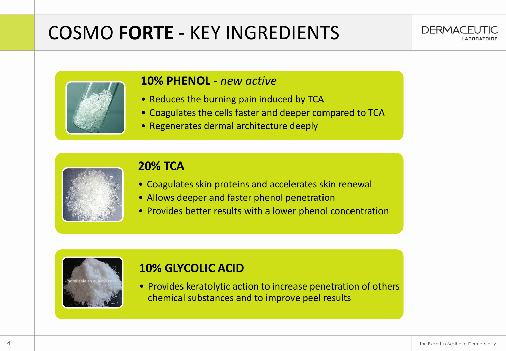## COSMO **FORTE** - KEY INGREDIENTS





#### **10% PHENOL** - *new active*

- Reduces the burning pain induced by TCA
- Coagulates the cells faster and deeper compared to TCA
- Regenerates dermal architecture deeply



#### **20% TCA**

- Coagulates skin proteins and accelerates skin renewal
- Allows deeper and faster phenol penetration
- Provides better results with a lower phenol concentration



#### **10% GLYCOLIC ACID**

• Provides keratolytic action to increase penetration of others chemical substances and to improve peel results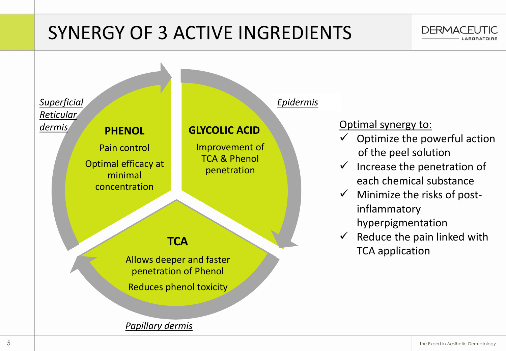## SYNERGY OF 3 ACTIVE INGREDIENTS



*Papillary dermis*

**DERMACEUTIC**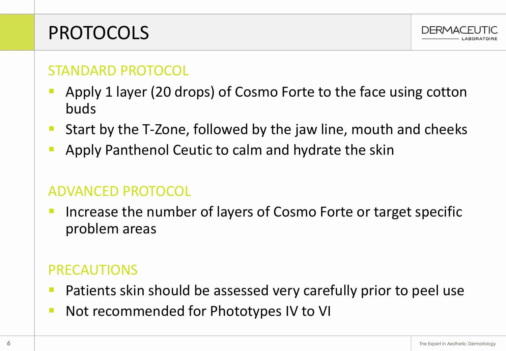### PROTOCOLS



### STANDARD PROTOCOL

- Apply 1 layer (20 drops) of Cosmo Forte to the face using cotton buds
- Start by the T-Zone, followed by the jaw line, mouth and cheeks
- Apply Panthenol Ceutic to calm and hydrate the skin

#### ADVANCED PROTOCOL

Increase the number of layers of Cosmo Forte or target specific problem areas

### PRECAUTIONS

- Patients skin should be assessed very carefully prior to peel use
- Not recommended for Phototypes IV to VI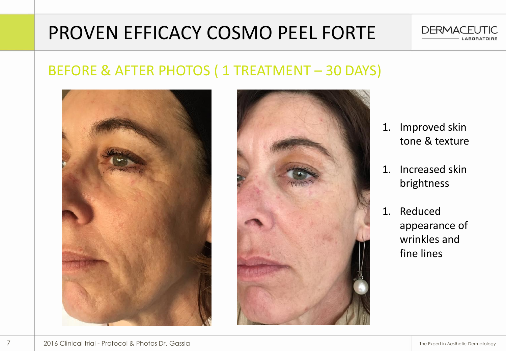

## PROVEN EFFICACY COSMO PEEL FORTE

### BEFORE & AFTER PHOTOS ( 1 TREATMENT – 30 DAYS)





- 1. Improved skin tone & texture
- 1. Increased skin brightness
- 1. Reduced appearance of wrinkles and fine lines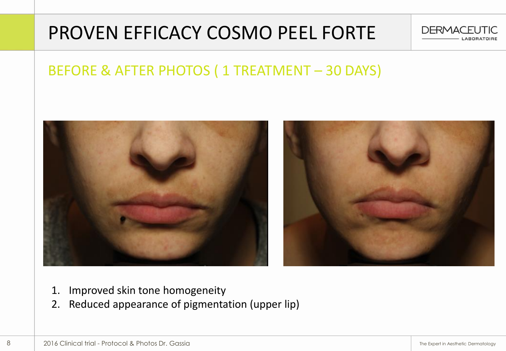### PROVEN EFFICACY COSMO PEEL FORTE



### BEFORE & AFTER PHOTOS ( 1 TREATMENT – 30 DAYS)



- 1. Improved skin tone homogeneity
- 2. Reduced appearance of pigmentation (upper lip)

8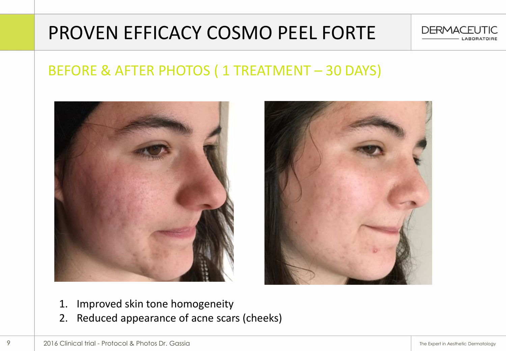### PROVEN EFFICACY COSMO PEEL FORTE







- 1. Improved skin tone homogeneity
- 2. Reduced appearance of acne scars (cheeks)

9

**DERMACEUTIC**